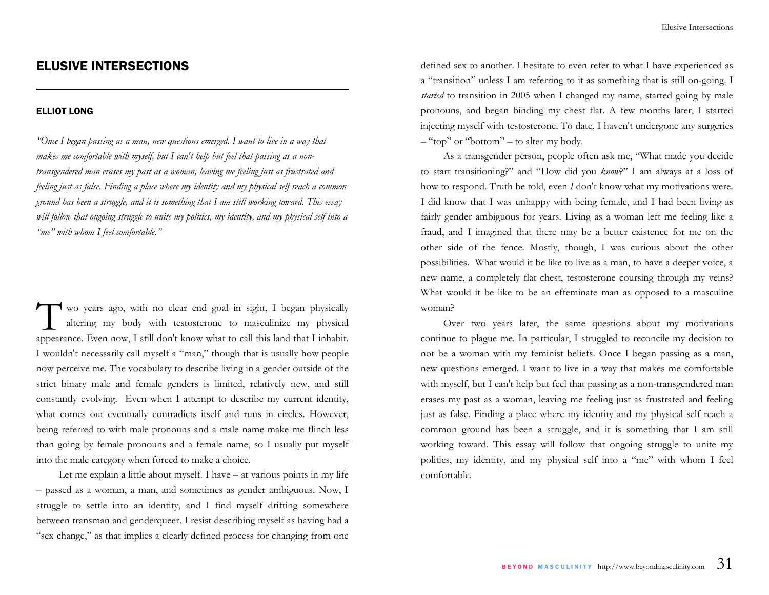# ELUSIVE INTERSECTIONS

#### ELLIOT LONG

*"Once I began passing as a man, new questions emerged. I want to live in a way that makes me comfortable with myself, but I can't help but feel that passing as a nontransgendered man erases my past as a woman, leaving me feeling just as frustrated and feeling just as false. Finding a place where my identity and my physical self reach a common ground has been a struggle, and it is something that I am still working toward. This essay will follow that ongoing struggle to unite my politics, my identity, and my physical self into a "me" with whom I feel comfortable."* 

wo years ago, with no clear end goal in sight, I began physically altering my body with testosterone to masculinize my physical appearance. Even now, I still don't know what to call this land that I inhabit. I wouldn't necessarily call myself a "man," though that is usually how people now perceive me. The vocabulary to describe living in a gender outside of the strict binary male and female genders is limited, relatively new, and still constantly evolving. Even when I attempt to describe my current identity, what comes out eventually contradicts itself and runs in circles. However, being referred to with male pronouns and a male name make me flinch less than going by female pronouns and a female name, so I usually put myself into the male category when forced to make a choice.

 Let me explain a little about myself. I have – at various points in my life – passed as a woman, a man, and sometimes as gender ambiguous. Now, I struggle to settle into an identity, and I find myself drifting somewhere between transman and genderqueer. I resist describing myself as having had a "sex change," as that implies a clearly defined process for changing from one

defined sex to another. I hesitate to even refer to what I have experienced as <sup>a</sup>"transition" unless I am referring to it as something that is still on-going. I *started* to transition in 2005 when I changed my name, started going by male pronouns, and began binding my chest flat. A few months later, I started injecting myself with testosterone. To date, I haven't undergone any surgeries – "top" or "bottom" – to alter my body.

 As a transgender person, people often ask me, "What made you decide to start transitioning?" and "How did you *know*?" I am always at a loss of how to respond. Truth be told, even *I* don't know what my motivations were. I did know that I was unhappy with being female, and I had been living as fairly gender ambiguous for years. Living as a woman left me feeling like a fraud, and I imagined that there may be a better existence for me on the other side of the fence. Mostly, though, I was curious about the other possibilities. What would it be like to live as a man, to have a deeper voice, a new name, a completely flat chest, testosterone coursing through my veins? What would it be like to be an effeminate man as opposed to a masculine woman?

 Over two years later, the same questions about my motivations continue to plague me. In particular, I struggled to reconcile my decision to not be a woman with my feminist beliefs. Once I began passing as a man, new questions emerged. I want to live in a way that makes me comfortable with myself, but I can't help but feel that passing as a non-transgendered man erases my past as a woman, leaving me feeling just as frustrated and feeling just as false. Finding a place where my identity and my physical self reach a common ground has been a struggle, and it is something that I am still working toward. This essay will follow that ongoing struggle to unite my politics, my identity, and my physical self into a "me" with whom I feel comfortable.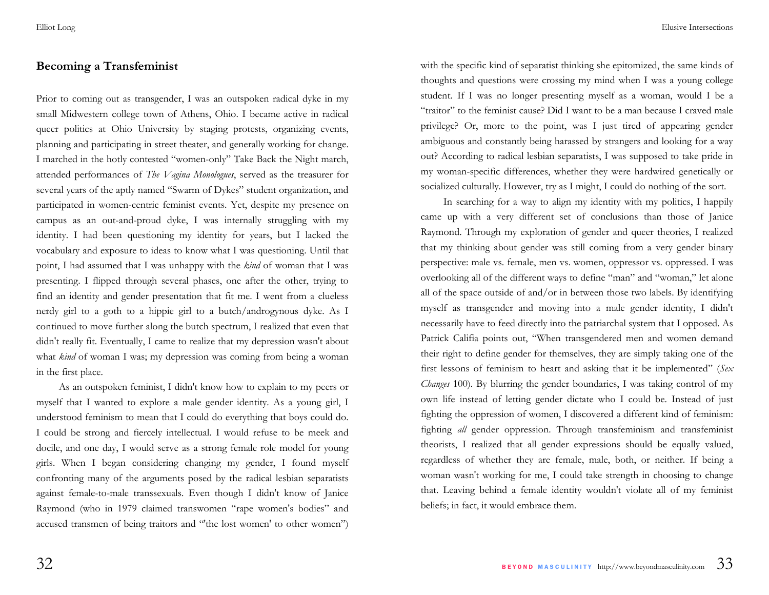### **Becoming a Transfeminist**

Prior to coming out as transgender, I was an outspoken radical dyke in my small Midwestern college town of Athens, Ohio. I became active in radical queer politics at Ohio University by staging protests, organizing events, planning and participating in street theater, and generally working for change. I marched in the hotly contested "women-only" Take Back the Night march, attended performances of *The Vagina Monologues*, served as the treasurer for several years of the aptly named "Swarm of Dykes" student organization, and participated in women-centric feminist events. Yet, despite my presence on campus as an out-and-proud dyke, I was internally struggling with my identity. I had been questioning my identity for years, but I lacked the vocabulary and exposure to ideas to know what I was questioning. Until that point, I had assumed that I was unhappy with the *kind* of woman that I was presenting. I flipped through several phases, one after the other, trying to find an identity and gender presentation that fit me. I went from a clueless nerdy girl to a goth to a hippie girl to a butch/androgynous dyke. As I continued to move further along the butch spectrum, I realized that even that didn't really fit. Eventually, I came to realize that my depression wasn't about what *kind* of woman I was; my depression was coming from being a woman in the first place.

 As an outspoken feminist, I didn't know how to explain to my peers or myself that I wanted to explore a male gender identity. As a young girl, I understood feminism to mean that I could do everything that boys could do. I could be strong and fiercely intellectual. I would refuse to be meek and docile, and one day, I would serve as a strong female role model for young girls. When I began considering changing my gender, I found myself confronting many of the arguments posed by the radical lesbian separatists against female-to-male transsexuals. Even though I didn't know of Janice Raymond (who in 1979 claimed transwomen "rape women's bodies" and accused transmen of being traitors and "'the lost women' to other women")

with the specific kind of separatist thinking she epitomized, the same kinds of thoughts and questions were crossing my mind when I was a young college student. If I was no longer presenting myself as a woman, would I be a "traitor" to the feminist cause? Did I want to be a man because I craved male privilege? Or, more to the point, was I just tired of appearing gender ambiguous and constantly being harassed by strangers and looking for a way out? According to radical lesbian separatists, I was supposed to take pride in my woman-specific differences, whether they were hardwired genetically or socialized culturally. However, try as I might, I could do nothing of the sort.

 In searching for a way to align my identity with my politics, I happily came up with a very different set of conclusions than those of Janice Raymond. Through my exploration of gender and queer theories, I realized that my thinking about gender was still coming from a very gender binary perspective: male vs. female, men vs. women, oppressor vs. oppressed. I was overlooking all of the different ways to define "man" and "woman," let alone all of the space outside of and/or in between those two labels. By identifying myself as transgender and moving into a male gender identity, I didn't necessarily have to feed directly into the patriarchal system that I opposed. As Patrick Califia points out, "When transgendered men and women demand their right to define gender for themselves, they are simply taking one of the first lessons of feminism to heart and asking that it be implemented" (*Sex Changes* 100). By blurring the gender boundaries, I was taking control of my own life instead of letting gender dictate who I could be. Instead of just fighting the oppression of women, I discovered a different kind of feminism: fighting *all* gender oppression. Through transfeminism and transfeminist theorists, I realized that all gender expressions should be equally valued, regardless of whether they are female, male, both, or neither. If being a woman wasn't working for me, I could take strength in choosing to change that. Leaving behind a female identity wouldn't violate all of my feminist beliefs; in fact, it would embrace them.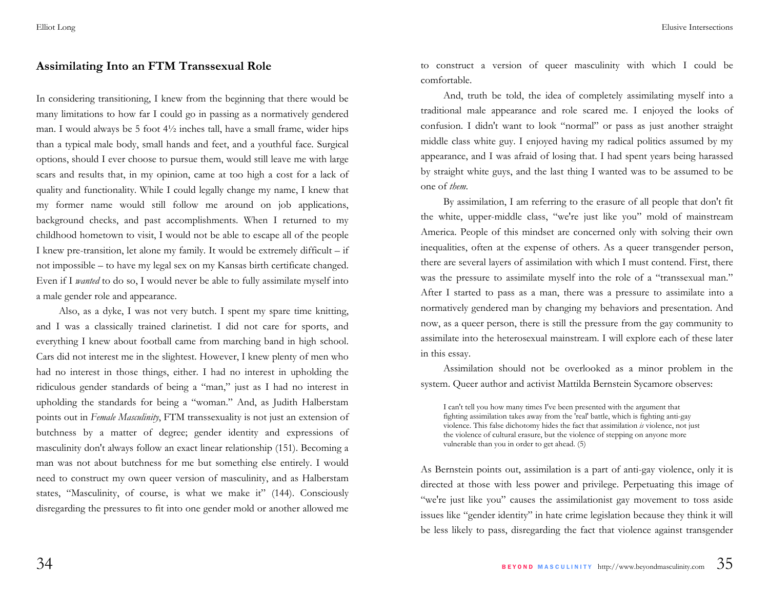### **Assimilating Into an FTM Transsexual Role**

In considering transitioning, I knew from the beginning that there would be many limitations to how far I could go in passing as a normatively gendered man. I would always be 5 foot  $4\frac{1}{2}$  inches tall, have a small frame, wider hips than a typical male body, small hands and feet, and a youthful face. Surgical options, should I ever choose to pursue them, would still leave me with large scars and results that, in my opinion, came at too high a cost for a lack of quality and functionality. While I could legally change my name, I knew that my former name would still follow me around on job applications, background checks, and past accomplishments. When I returned to my childhood hometown to visit, I would not be able to escape all of the people I knew pre-transition, let alone my family. It would be extremely difficult – if not impossible – to have my legal sex on my Kansas birth certificate changed. Even if I *wanted* to do so, I would never be able to fully assimilate myself into a male gender role and appearance.

 Also, as a dyke, I was not very butch. I spent my spare time knitting, and I was a classically trained clarinetist. I did not care for sports, and everything I knew about football came from marching band in high school. Cars did not interest me in the slightest. However, I knew plenty of men who had no interest in those things, either. I had no interest in upholding the ridiculous gender standards of being a "man," just as I had no interest in upholding the standards for being a "woman." And, as Judith Halberstam points out in *Female Masculinity*, FTM transsexuality is not just an extension of butchness by a matter of degree; gender identity and expressions of masculinity don't always follow an exact linear relationship (151). Becoming a man was not about butchness for me but something else entirely. I would need to construct my own queer version of masculinity, and as Halberstam states, "Masculinity, of course, is what we make it" (144). Consciously disregarding the pressures to fit into one gender mold or another allowed me

to construct a version of queer masculinity with which I could be comfortable.

 And, truth be told, the idea of completely assimilating myself into a traditional male appearance and role scared me. I enjoyed the looks of confusion. I didn't want to look "normal" or pass as just another straight middle class white guy. I enjoyed having my radical politics assumed by my appearance, and I was afraid of losing that. I had spent years being harassed by straight white guys, and the last thing I wanted was to be assumed to be one of *them*.

 By assimilation, I am referring to the erasure of all people that don't fit the white, upper-middle class, "we're just like you" mold of mainstream America. People of this mindset are concerned only with solving their own inequalities, often at the expense of others. As a queer transgender person, there are several layers of assimilation with which I must contend. First, there was the pressure to assimilate myself into the role of a "transsexual man." After I started to pass as a man, there was a pressure to assimilate into a normatively gendered man by changing my behaviors and presentation. And now, as a queer person, there is still the pressure from the gay community to assimilate into the heterosexual mainstream. I will explore each of these later in this essay.

 Assimilation should not be overlooked as a minor problem in the system. Queer author and activist Mattilda Bernstein Sycamore observes:

I can't tell you how many times I've been presented with the argument that fighting assimilation takes away from the 'real' battle, which is fighting anti-gay violence. This false dichotomy hides the fact that assimilation *is* violence, not just the violence of cultural erasure, but the violence of stepping on anyone more vulnerable than you in order to get ahead. (5)

As Bernstein points out, assimilation is a part of anti-gay violence, only it is directed at those with less power and privilege. Perpetuating this image of "we're just like you" causes the assimilationist gay movement to toss aside issues like "gender identity" in hate crime legislation because they think it will be less likely to pass, disregarding the fact that violence against transgender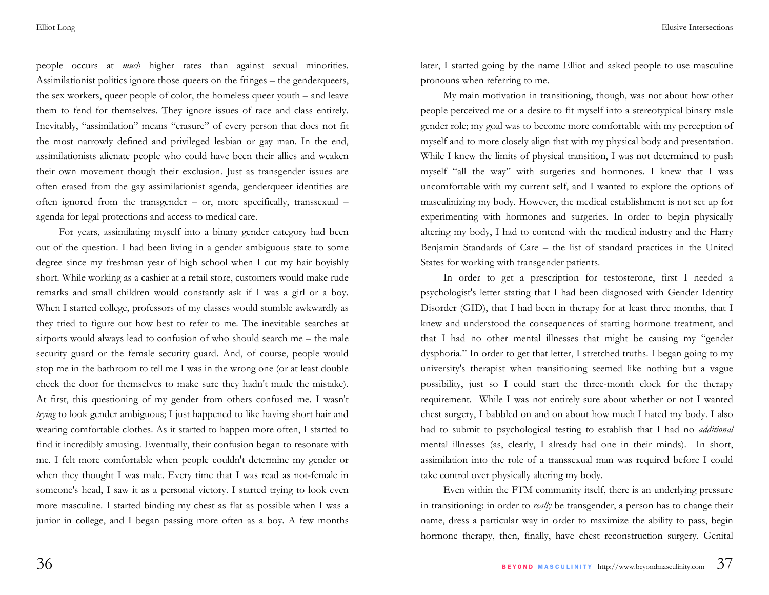people occurs at *much* higher rates than against sexual minorities. Assimilationist politics ignore those queers on the fringes – the genderqueers, the sex workers, queer people of color, the homeless queer youth – and leave them to fend for themselves. They ignore issues of race and class entirely. Inevitably, "assimilation" means "erasure" of every person that does not fit the most narrowly defined and privileged lesbian or gay man. In the end, assimilationists alienate people who could have been their allies and weaken their own movement though their exclusion. Just as transgender issues are often erased from the gay assimilationist agenda, genderqueer identities are often ignored from the transgender – or, more specifically, transsexual – agenda for legal protections and access to medical care.

 For years, assimilating myself into a binary gender category had been out of the question. I had been living in a gender ambiguous state to some degree since my freshman year of high school when I cut my hair boyishly short. While working as a cashier at a retail store, customers would make rude remarks and small children would constantly ask if I was a girl or a boy. When I started college, professors of my classes would stumble awkwardly as they tried to figure out how best to refer to me. The inevitable searches at airports would always lead to confusion of who should search me – the male security guard or the female security guard. And, of course, people would stop me in the bathroom to tell me I was in the wrong one (or at least double check the door for themselves to make sure they hadn't made the mistake). At first, this questioning of my gender from others confused me. I wasn't *trying* to look gender ambiguous; I just happened to like having short hair and wearing comfortable clothes. As it started to happen more often, I started to find it incredibly amusing. Eventually, their confusion began to resonate with me. I felt more comfortable when people couldn't determine my gender or when they thought I was male. Every time that I was read as not-female in someone's head, I saw it as a personal victory. I started trying to look even more masculine. I started binding my chest as flat as possible when I was a junior in college, and I began passing more often as a boy. A few months

later, I started going by the name Elliot and asked people to use masculine pronouns when referring to me.

 My main motivation in transitioning, though, was not about how other people perceived me or a desire to fit myself into a stereotypical binary male gender role; my goal was to become more comfortable with my perception of myself and to more closely align that with my physical body and presentation. While I knew the limits of physical transition, I was not determined to push myself "all the way" with surgeries and hormones. I knew that I was uncomfortable with my current self, and I wanted to explore the options of masculinizing my body. However, the medical establishment is not set up for experimenting with hormones and surgeries. In order to begin physically altering my body, I had to contend with the medical industry and the Harry Benjamin Standards of Care – the list of standard practices in the United States for working with transgender patients.

 In order to get a prescription for testosterone, first I needed a psychologist's letter stating that I had been diagnosed with Gender Identity Disorder (GID), that I had been in therapy for at least three months, that I knew and understood the consequences of starting hormone treatment, and that I had no other mental illnesses that might be causing my "gender dysphoria." In order to get that letter, I stretched truths. I began going to my university's therapist when transitioning seemed like nothing but a vague possibility, just so I could start the three-month clock for the therapy requirement. While I was not entirely sure about whether or not I wanted chest surgery, I babbled on and on about how much I hated my body. I also had to submit to psychological testing to establish that I had no *additional*  mental illnesses (as, clearly, I already had one in their minds). In short, assimilation into the role of a transsexual man was required before I could take control over physically altering my body.

 Even within the FTM community itself, there is an underlying pressure in transitioning: in order to *really* be transgender, a person has to change their name, dress a particular way in order to maximize the ability to pass, begin hormone therapy, then, finally, have chest reconstruction surgery. Genital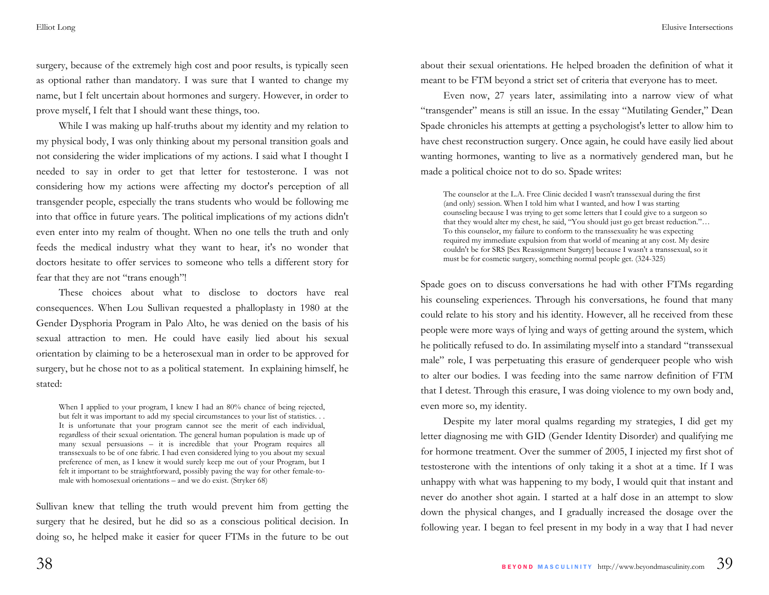surgery, because of the extremely high cost and poor results, is typically seen as optional rather than mandatory. I was sure that I wanted to change my name, but I felt uncertain about hormones and surgery. However, in order to prove myself, I felt that I should want these things, too.

 While I was making up half-truths about my identity and my relation to my physical body, I was only thinking about my personal transition goals and not considering the wider implications of my actions. I said what I thought I needed to say in order to get that letter for testosterone. I was not considering how my actions were affecting my doctor's perception of all transgender people, especially the trans students who would be following me into that office in future years. The political implications of my actions didn't even enter into my realm of thought. When no one tells the truth and only feeds the medical industry what they want to hear, it's no wonder that doctors hesitate to offer services to someone who tells a different story for fear that they are not "trans enough"!

 These choices about what to disclose to doctors have real consequences. When Lou Sullivan requested a phalloplasty in 1980 at the Gender Dysphoria Program in Palo Alto, he was denied on the basis of his sexual attraction to men. He could have easily lied about his sexual orientation by claiming to be a heterosexual man in order to be approved for surgery, but he chose not to as a political statement. In explaining himself, he stated:

When I applied to your program, I knew I had an 80% chance of being rejected, but felt it was important to add my special circumstances to your list of statistics. . . It is unfortunate that your program cannot see the merit of each individual, regardless of their sexual orientation. The general human population is made up of many sexual persuasions – it is incredible that your Program requires all transsexuals to be of one fabric. I had even considered lying to you about my sexual preference of men, as I knew it would surely keep me out of your Program, but I felt it important to be straightforward, possibly paving the way for other female-tomale with homosexual orientations – and we do exist. (Stryker 68)

Sullivan knew that telling the truth would prevent him from getting the surgery that he desired, but he did so as a conscious political decision. In doing so, he helped make it easier for queer FTMs in the future to be out about their sexual orientations. He helped broaden the definition of what it meant to be FTM beyond a strict set of criteria that everyone has to meet.

 Even now, 27 years later, assimilating into a narrow view of what "transgender" means is still an issue. In the essay "Mutilating Gender," Dean Spade chronicles his attempts at getting a psychologist's letter to allow him to have chest reconstruction surgery. Once again, he could have easily lied about wanting hormones, wanting to live as a normatively gendered man, but he made a political choice not to do so. Spade writes:

The counselor at the L.A. Free Clinic decided I wasn't transsexual during the first (and only) session. When I told him what I wanted, and how I was starting counseling because I was trying to get some letters that I could give to a surgeon so that they would alter my chest, he said, "You should just go get breast reduction."… To this counselor, my failure to conform to the transsexuality he was expecting required my immediate expulsion from that world of meaning at any cost. My desire couldn't be for SRS [Sex Reassignment Surgery] because I wasn't a transsexual, so it must be for cosmetic surgery, something normal people get. (324-325)

Spade goes on to discuss conversations he had with other FTMs regarding his counseling experiences. Through his conversations, he found that many could relate to his story and his identity. However, all he received from these people were more ways of lying and ways of getting around the system, which he politically refused to do. In assimilating myself into a standard "transsexual male" role, I was perpetuating this erasure of genderqueer people who wish to alter our bodies. I was feeding into the same narrow definition of FTM that I detest. Through this erasure, I was doing violence to my own body and, even more so, my identity.

 Despite my later moral qualms regarding my strategies, I did get my letter diagnosing me with GID (Gender Identity Disorder) and qualifying me for hormone treatment. Over the summer of 2005, I injected my first shot of testosterone with the intentions of only taking it a shot at a time. If I was unhappy with what was happening to my body, I would quit that instant and never do another shot again. I started at a half dose in an attempt to slow down the physical changes, and I gradually increased the dosage over the following year. I began to feel present in my body in a way that I had never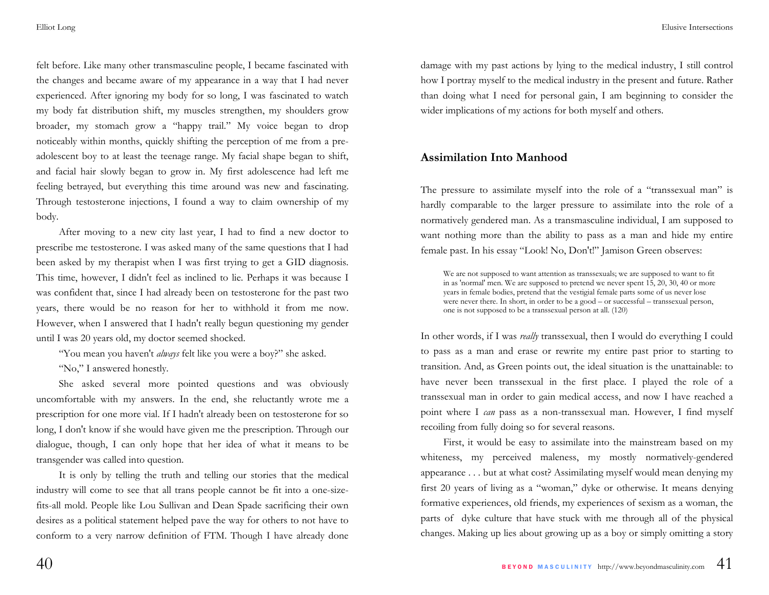felt before. Like many other transmasculine people, I became fascinated with the changes and became aware of my appearance in a way that I had never experienced. After ignoring my body for so long, I was fascinated to watch my body fat distribution shift, my muscles strengthen, my shoulders grow broader, my stomach grow a "happy trail." My voice began to drop noticeably within months, quickly shifting the perception of me from a preadolescent boy to at least the teenage range. My facial shape began to shift, and facial hair slowly began to grow in. My first adolescence had left me feeling betrayed, but everything this time around was new and fascinating. Through testosterone injections, I found a way to claim ownership of my body.

 After moving to a new city last year, I had to find a new doctor to prescribe me testosterone. I was asked many of the same questions that I had been asked by my therapist when I was first trying to get a GID diagnosis. This time, however, I didn't feel as inclined to lie. Perhaps it was because I was confident that, since I had already been on testosterone for the past two years, there would be no reason for her to withhold it from me now. However, when I answered that I hadn't really begun questioning my gender until I was 20 years old, my doctor seemed shocked.

 "You mean you haven't *always* felt like you were a boy?" she asked. "No," I answered honestly.

 She asked several more pointed questions and was obviously uncomfortable with my answers. In the end, she reluctantly wrote me a prescription for one more vial. If I hadn't already been on testosterone for so long, I don't know if she would have given me the prescription. Through our dialogue, though, I can only hope that her idea of what it means to be transgender was called into question.

 It is only by telling the truth and telling our stories that the medical industry will come to see that all trans people cannot be fit into a one-sizefits-all mold. People like Lou Sullivan and Dean Spade sacrificing their own desires as a political statement helped pave the way for others to not have to conform to a very narrow definition of FTM. Though I have already done damage with my past actions by lying to the medical industry, I still control how I portray myself to the medical industry in the present and future. Rather than doing what I need for personal gain, I am beginning to consider the wider implications of my actions for both myself and others.

### **Assimilation Into Manhood**

The pressure to assimilate myself into the role of a "transsexual man" is hardly comparable to the larger pressure to assimilate into the role of a normatively gendered man. As a transmasculine individual, I am supposed to want nothing more than the ability to pass as a man and hide my entire female past. In his essay "Look! No, Don't!" Jamison Green observes:

We are not supposed to want attention as transsexuals; we are supposed to want to fit in as 'normal' men. We are supposed to pretend we never spent 15, 20, 30, 40 or more years in female bodies, pretend that the vestigial female parts some of us never lose were never there. In short, in order to be a good – or successful – transsexual person, one is not supposed to be a transsexual person at all. (120)

In other words, if I was *really* transsexual, then I would do everything I could to pass as a man and erase or rewrite my entire past prior to starting to transition. And, as Green points out, the ideal situation is the unattainable: to have never been transsexual in the first place. I played the role of a transsexual man in order to gain medical access, and now I have reached a point where I *can* pass as a non-transsexual man. However, I find myself recoiling from fully doing so for several reasons.

 First, it would be easy to assimilate into the mainstream based on my whiteness, my perceived maleness, my mostly normatively-gendered appearance . . . but at what cost? Assimilating myself would mean denying my first 20 years of living as a "woman," dyke or otherwise. It means denying formative experiences, old friends, my experiences of sexism as a woman, the parts of dyke culture that have stuck with me through all of the physical changes. Making up lies about growing up as a boy or simply omitting a story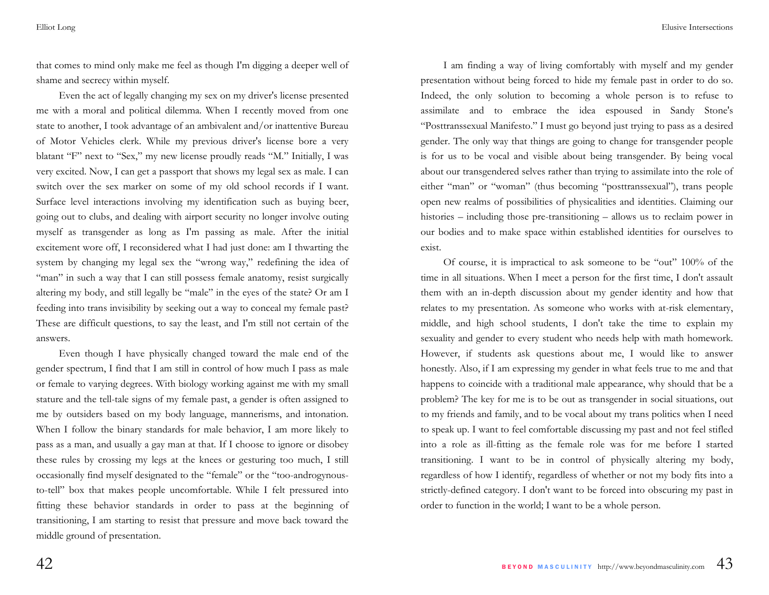that comes to mind only make me feel as though I'm digging a deeper well of shame and secrecy within myself.

 Even the act of legally changing my sex on my driver's license presented me with a moral and political dilemma. When I recently moved from one state to another, I took advantage of an ambivalent and/or inattentive Bureau of Motor Vehicles clerk. While my previous driver's license bore a very blatant "F" next to "Sex," my new license proudly reads "M." Initially, I was very excited. Now, I can get a passport that shows my legal sex as male. I can switch over the sex marker on some of my old school records if I want. Surface level interactions involving my identification such as buying beer, going out to clubs, and dealing with airport security no longer involve outing myself as transgender as long as I'm passing as male. After the initial excitement wore off, I reconsidered what I had just done: am I thwarting the system by changing my legal sex the "wrong way," redefining the idea of "man" in such a way that I can still possess female anatomy, resist surgically altering my body, and still legally be "male" in the eyes of the state? Or am I feeding into trans invisibility by seeking out a way to conceal my female past? These are difficult questions, to say the least, and I'm still not certain of the answers.

 Even though I have physically changed toward the male end of the gender spectrum, I find that I am still in control of how much I pass as male or female to varying degrees. With biology working against me with my small stature and the tell-tale signs of my female past, a gender is often assigned to me by outsiders based on my body language, mannerisms, and intonation. When I follow the binary standards for male behavior, I am more likely to pass as a man, and usually a gay man at that. If I choose to ignore or disobey these rules by crossing my legs at the knees or gesturing too much, I still occasionally find myself designated to the "female" or the "too-androgynousto-tell" box that makes people uncomfortable. While I felt pressured into fitting these behavior standards in order to pass at the beginning of transitioning, I am starting to resist that pressure and move back toward the middle ground of presentation.

I am finding a way of living comfortably with myself and my gender presentation without being forced to hide my female past in order to do so. Indeed, the only solution to becoming a whole person is to refuse to assimilate and to embrace the idea espoused in Sandy Stone's "Posttranssexual Manifesto." I must go beyond just trying to pass as a desired gender. The only way that things are going to change for transgender people is for us to be vocal and visible about being transgender. By being vocal about our transgendered selves rather than trying to assimilate into the role of either "man" or "woman" (thus becoming "posttranssexual"), trans people open new realms of possibilities of physicalities and identities. Claiming our histories – including those pre-transitioning – allows us to reclaim power in our bodies and to make space within established identities for ourselves to exist.

 Of course, it is impractical to ask someone to be "out" 100% of the time in all situations. When I meet a person for the first time, I don't assault them with an in-depth discussion about my gender identity and how that relates to my presentation. As someone who works with at-risk elementary, middle, and high school students, I don't take the time to explain my sexuality and gender to every student who needs help with math homework. However, if students ask questions about me, I would like to answer honestly. Also, if I am expressing my gender in what feels true to me and that happens to coincide with a traditional male appearance, why should that be a problem? The key for me is to be out as transgender in social situations, out to my friends and family, and to be vocal about my trans politics when I need to speak up. I want to feel comfortable discussing my past and not feel stifled into a role as ill-fitting as the female role was for me before I started transitioning. I want to be in control of physically altering my body, regardless of how I identify, regardless of whether or not my body fits into a strictly-defined category. I don't want to be forced into obscuring my past in order to function in the world; I want to be a whole person.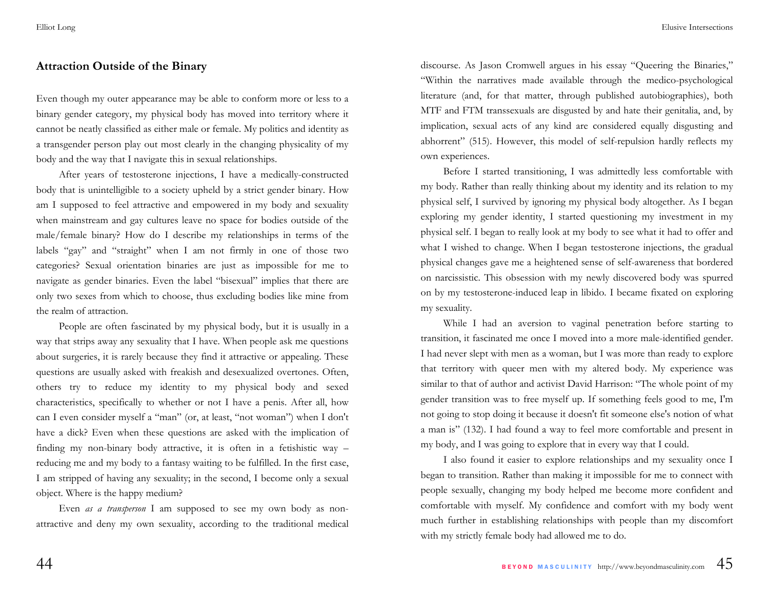### **Attraction Outside of the Binary**

Even though my outer appearance may be able to conform more or less to a binary gender category, my physical body has moved into territory where it cannot be neatly classified as either male or female. My politics and identity as a transgender person play out most clearly in the changing physicality of my body and the way that I navigate this in sexual relationships.

 After years of testosterone injections, I have a medically-constructed body that is unintelligible to a society upheld by a strict gender binary. How am I supposed to feel attractive and empowered in my body and sexuality when mainstream and gay cultures leave no space for bodies outside of the male/female binary? How do I describe my relationships in terms of the labels "gay" and "straight" when I am not firmly in one of those two categories? Sexual orientation binaries are just as impossible for me to navigate as gender binaries. Even the label "bisexual" implies that there are only two sexes from which to choose, thus excluding bodies like mine from the realm of attraction.

 People are often fascinated by my physical body, but it is usually in a way that strips away any sexuality that I have. When people ask me questions about surgeries, it is rarely because they find it attractive or appealing. These questions are usually asked with freakish and desexualized overtones. Often, others try to reduce my identity to my physical body and sexed characteristics, specifically to whether or not I have a penis. After all, how can I even consider myself a "man" (or, at least, "not woman") when I don't have a dick? Even when these questions are asked with the implication of finding my non-binary body attractive, it is often in a fetishistic way – reducing me and my body to a fantasy waiting to be fulfilled. In the first case, I am stripped of having any sexuality; in the second, I become only a sexual object. Where is the happy medium?

 Even *as a transperson* I am supposed to see my own body as nonattractive and deny my own sexuality, according to the traditional medical discourse. As Jason Cromwell argues in his essay "Queering the Binaries," "Within the narratives made available through the medico-psychological literature (and, for that matter, through published autobiographies), both MTF and FTM transsexuals are disgusted by and hate their genitalia, and, by implication, sexual acts of any kind are considered equally disgusting and abhorrent" (515). However, this model of self-repulsion hardly reflects my own experiences.

 Before I started transitioning, I was admittedly less comfortable with my body. Rather than really thinking about my identity and its relation to my physical self, I survived by ignoring my physical body altogether. As I began exploring my gender identity, I started questioning my investment in my physical self. I began to really look at my body to see what it had to offer and what I wished to change. When I began testosterone injections, the gradual physical changes gave me a heightened sense of self-awareness that bordered on narcissistic. This obsession with my newly discovered body was spurred on by my testosterone-induced leap in libido. I became fixated on exploring my sexuality.

 While I had an aversion to vaginal penetration before starting to transition, it fascinated me once I moved into a more male-identified gender. I had never slept with men as a woman, but I was more than ready to explore that territory with queer men with my altered body. My experience was similar to that of author and activist David Harrison: "The whole point of my gender transition was to free myself up. If something feels good to me, I'm not going to stop doing it because it doesn't fit someone else's notion of what a man is" (132). I had found a way to feel more comfortable and present in my body, and I was going to explore that in every way that I could.

 I also found it easier to explore relationships and my sexuality once I began to transition. Rather than making it impossible for me to connect with people sexually, changing my body helped me become more confident and comfortable with myself. My confidence and comfort with my body went much further in establishing relationships with people than my discomfort with my strictly female body had allowed me to do.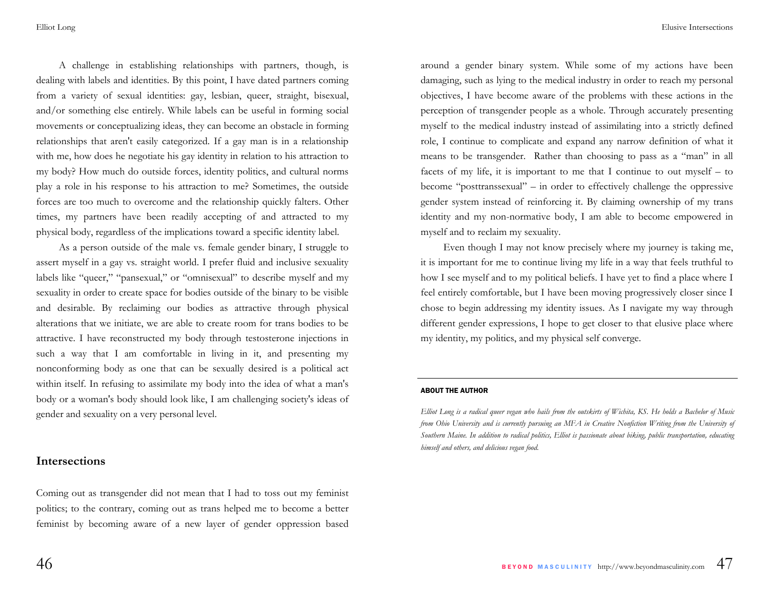Elusive Intersections

 A challenge in establishing relationships with partners, though, is dealing with labels and identities. By this point, I have dated partners coming from a variety of sexual identities: gay, lesbian, queer, straight, bisexual, and/or something else entirely. While labels can be useful in forming social movements or conceptualizing ideas, they can become an obstacle in forming relationships that aren't easily categorized. If a gay man is in a relationship with me, how does he negotiate his gay identity in relation to his attraction to my body? How much do outside forces, identity politics, and cultural norms play a role in his response to his attraction to me? Sometimes, the outside forces are too much to overcome and the relationship quickly falters. Other times, my partners have been readily accepting of and attracted to my physical body, regardless of the implications toward a specific identity label.

 As a person outside of the male vs. female gender binary, I struggle to assert myself in a gay vs. straight world. I prefer fluid and inclusive sexuality labels like "queer," "pansexual," or "omnisexual" to describe myself and my sexuality in order to create space for bodies outside of the binary to be visible and desirable. By reclaiming our bodies as attractive through physical alterations that we initiate, we are able to create room for trans bodies to be attractive. I have reconstructed my body through testosterone injections in such a way that I am comfortable in living in it, and presenting my nonconforming body as one that can be sexually desired is a political act within itself. In refusing to assimilate my body into the idea of what a man's body or a woman's body should look like, I am challenging society's ideas of gender and sexuality on a very personal level.

### **Intersections**

Coming out as transgender did not mean that I had to toss out my feminist politics; to the contrary, coming out as trans helped me to become a better feminist by becoming aware of a new layer of gender oppression based around a gender binary system. While some of my actions have been damaging, such as lying to the medical industry in order to reach my personal objectives, I have become aware of the problems with these actions in the perception of transgender people as a whole. Through accurately presenting myself to the medical industry instead of assimilating into a strictly defined role, I continue to complicate and expand any narrow definition of what it means to be transgender. Rather than choosing to pass as a "man" in all facets of my life, it is important to me that I continue to out myself – to become "posttranssexual" – in order to effectively challenge the oppressive gender system instead of reinforcing it. By claiming ownership of my trans identity and my non-normative body, I am able to become empowered in myself and to reclaim my sexuality.

Even though I may not know precisely where my journey is taking me, it is important for me to continue living my life in a way that feels truthful to how I see myself and to my political beliefs. I have yet to find a place where I feel entirely comfortable, but I have been moving progressively closer since I chose to begin addressing my identity issues. As I navigate my way through different gender expressions, I hope to get closer to that elusive place where my identity, my politics, and my physical self converge.

#### ABOUT THE AUTHOR

*Elliot Long is a radical queer vegan who hails from the outskirts of Wichita, KS. He holds a Bachelor of Music from Ohio University and is currently pursuing an MFA in Creative Nonfiction Writing from the University of Southern Maine. In addition to radical politics, Elliot is passionate about biking, public transportation, educating himself and others, and delicious vegan food.*